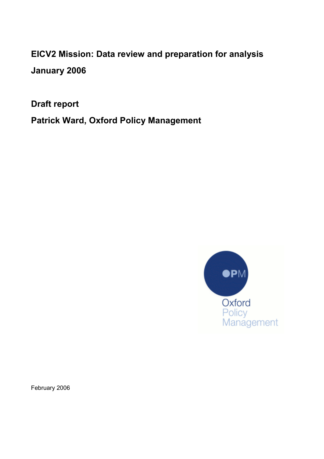EICV2 Mission: Data review and preparation for analysis January 2006

Draft report

Patrick Ward, Oxford Policy Management



February 2006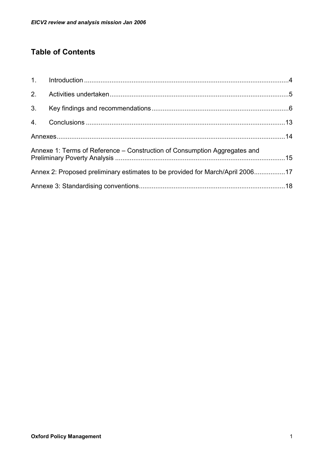# Table of Contents

| 3. |                                                                               |  |
|----|-------------------------------------------------------------------------------|--|
|    |                                                                               |  |
|    |                                                                               |  |
|    | Annexe 1: Terms of Reference – Construction of Consumption Aggregates and     |  |
|    | Annex 2: Proposed preliminary estimates to be provided for March/April 200617 |  |
|    |                                                                               |  |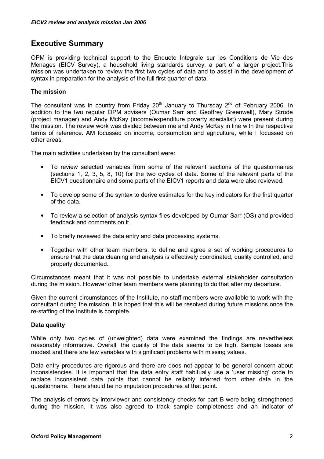## Executive Summary

OPM is providing technical support to the Enquete Integrale sur les Conditions de Vie des Menages (EICV Survey), a household living standards survey, a part of a larger project.This mission was undertaken to review the first two cycles of data and to assist in the development of syntax in preparation for the analysis of the full first quarter of data.

## The mission

The consultant was in country from Friday  $20<sup>th</sup>$  January to Thursday  $2<sup>nd</sup>$  of February 2006. In addition to the two regular OPM advisers (Oumar Sarr and Geoffrey Greenwell), Mary Strode (project manager) and Andy McKay (income/expenditure poverty specialist) were present during the mission. The review work was divided between me and Andy McKay in line with the respective terms of reference. AM focussed on income, consumption and agriculture, while I focussed on other areas.

The main activities undertaken by the consultant were:

- To review selected variables from some of the relevant sections of the questionnaires (sections 1, 2, 3, 5, 8, 10) for the two cycles of data. Some of the relevant parts of the EICV1 questionnaire and some parts of the EICV1 reports and data were also reviewed.
- To develop some of the syntax to derive estimates for the key indicators for the first quarter of the data.
- To review a selection of analysis syntax files developed by Oumar Sarr (OS) and provided feedback and comments on it.
- To briefly reviewed the data entry and data processing systems.
- Together with other team members, to define and agree a set of working procedures to ensure that the data cleaning and analysis is effectively coordinated, quality controlled, and properly documented.

Circumstances meant that it was not possible to undertake external stakeholder consultation during the mission. However other team members were planning to do that after my departure.

Given the current circumstances of the Institute, no staff members were available to work with the consultant during the mission. It is hoped that this will be resolved during future missions once the re-staffing of the Institute is complete.

#### Data quality

While only two cycles of (unweighted) data were examined the findings are nevertheless reasonably informative. Overall, the quality of the data seems to be high. Sample losses are modest and there are few variables with significant problems with missing values.

Data entry procedures are rigorous and there are does not appear to be general concern about inconsistencies. It is important that the data entry staff habitually use a 'user missing' code to replace inconsistent data points that cannot be reliably inferred from other data in the questionnaire. There should be no imputation procedures at that point.

The analysis of errors by interviewer and consistency checks for part B were being strengthened during the mission. It was also agreed to track sample completeness and an indicator of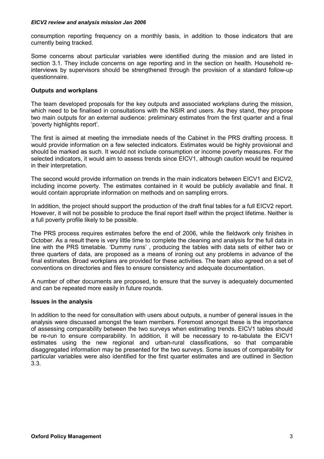consumption reporting frequency on a monthly basis, in addition to those indicators that are currently being tracked.

Some concerns about particular variables were identified during the mission and are listed in section 3.1. They include concerns on age reporting and in the section on health. Household reinterviews by supervisors should be strengthened through the provision of a standard follow-up questionnaire.

#### Outputs and workplans

The team developed proposals for the key outputs and associated workplans during the mission, which need to be finalised in consultations with the NSIR and users. As they stand, they propose two main outputs for an external audience: preliminary estimates from the first quarter and a final 'poverty highlights report'.

The first is aimed at meeting the immediate needs of the Cabinet in the PRS drafting process. It would provide information on a few selected indicators. Estimates would be highly provisional and should be marked as such. It would not include consumption or income poverty measures. For the selected indicators, it would aim to assess trends since EICV1, although caution would be required in their interpretation.

The second would provide information on trends in the main indicators between EICV1 and EICV2, including income poverty. The estimates contained in it would be publicly available and final. It would contain appropriate information on methods and on sampling errors.

In addition, the project should support the production of the draft final tables for a full EICV2 report. However, it will not be possible to produce the final report itself within the project lifetime. Neither is a full poverty profile likely to be possible.

The PRS process requires estimates before the end of 2006, while the fieldwork only finishes in October. As a result there is very little time to complete the cleaning and analysis for the full data in line with the PRS timetable. 'Dummy runs' , producing the tables with data sets of either two or three quarters of data, are proposed as a means of ironing out any problems in advance of the final estimates. Broad workplans are provided for these activities. The team also agreed on a set of conventions on directories and files to ensure consistency and adequate documentation.

A number of other documents are proposed, to ensure that the survey is adequately documented and can be repeated more easily in future rounds.

#### Issues in the analysis

In addition to the need for consultation with users about outputs, a number of general issues in the analysis were discussed amongst the team members. Foremost amongst these is the importance of assessing comparability between the two surveys when estimating trends. EICV1 tables should be re-run to ensure comparability. In addition, it will be necessary to re-tabulate the EICV1 estimates using the new regional and urban-rural classifications, so that comparable disaggregated information may be presented for the two surveys. Some issues of comparability for particular variables were also identified for the first quarter estimates and are outlined in Section 3.3.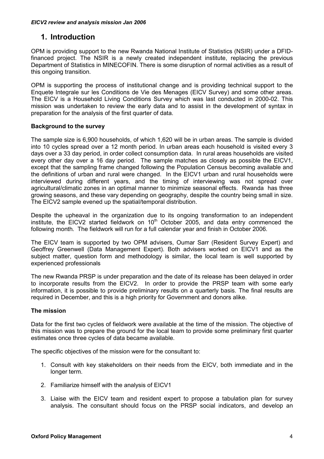# <span id="page-4-0"></span>1. Introduction

OPM is providing support to the new Rwanda National Institute of Statistics (NSIR) under a DFIDfinanced project. The NSIR is a newly created independent institute, replacing the previous Department of Statistics in MINECOFIN. There is some disruption of normal activities as a result of this ongoing transition.

OPM is supporting the process of institutional change and is providing technical support to the Enquete Integrale sur les Conditions de Vie des Menages (EICV Survey) and some other areas. The EICV is a Household Living Conditions Survey which was last conducted in 2000-02. This mission was undertaken to review the early data and to assist in the development of syntax in preparation for the analysis of the first quarter of data.

## Background to the survey

The sample size is 6,900 households, of which 1,620 will be in urban areas. The sample is divided into 10 cycles spread over a 12 month period. In urban areas each household is visited every 3 days over a 33 day period, in order collect consumption data. In rural areas households are visited every other day over a 16 day period. The sample matches as closely as possible the EICV1, except that the sampling frame changed following the Population Census becoming available and the definitions of urban and rural were changed. In the EICV1 urban and rural households were interviewed during different years, and the timing of interviewing was not spread over agricultural/climatic zones in an optimal manner to minimize seasonal effects. Rwanda has three growing seasons, and these vary depending on geography, despite the country being small in size. The EICV2 sample evened up the spatial/temporal distribution.

Despite the upheaval in the organization due to its ongoing transformation to an independent institute, the EICV2 started fieldwork on  $10<sup>th</sup>$  October 2005, and data entry commenced the following month. The fieldwork will run for a full calendar year and finish in October 2006.

The EICV team is supported by two OPM advisers, Oumar Sarr (Resident Survey Expert) and Geoffrey Greenwell (Data Management Expert). Both advisers worked on EICV1 and as the subject matter, question form and methodology is similar, the local team is well supported by experienced professionals

The new Rwanda PRSP is under preparation and the date of its release has been delayed in order to incorporate results from the EICV2. In order to provide the PRSP team with some early information, it is possible to provide preliminary results on a quarterly basis. The final results are required in December, and this is a high priority for Government and donors alike.

## The mission

Data for the first two cycles of fieldwork were available at the time of the mission. The objective of this mission was to prepare the ground for the local team to provide some preliminary first quarter estimates once three cycles of data became available.

The specific objectives of the mission were for the consultant to:

- 1. Consult with key stakeholders on their needs from the EICV, both immediate and in the longer term.
- 2. Familiarize himself with the analysis of EICV1
- 3. Liaise with the EICV team and resident expert to propose a tabulation plan for survey analysis. The consultant should focus on the PRSP social indicators, and develop an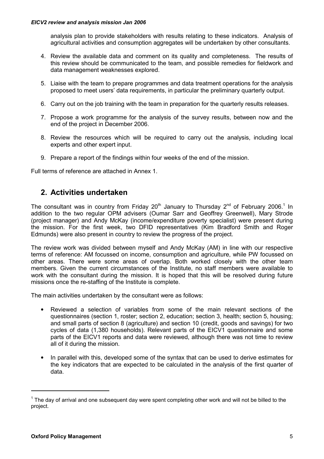<span id="page-5-0"></span>analysis plan to provide stakeholders with results relating to these indicators. Analysis of agricultural activities and consumption aggregates will be undertaken by other consultants.

- 4. Review the available data and comment on its quality and completeness. The results of this review should be communicated to the team, and possible remedies for fieldwork and data management weaknesses explored.
- 5. Liaise with the team to prepare programmes and data treatment operations for the analysis proposed to meet users' data requirements, in particular the preliminary quarterly output.
- 6. Carry out on the job training with the team in preparation for the quarterly results releases.
- 7. Propose a work programme for the analysis of the survey results, between now and the end of the project in December 2006.
- 8. Review the resources which will be required to carry out the analysis, including local experts and other expert input.
- 9. Prepare a report of the findings within four weeks of the end of the mission.

Full terms of reference are attached in Annex 1.

# 2. Activities undertaken

The consultant was in country from Friday 20<sup>th</sup> January to Thursday 2<sup>nd</sup> of February 2006.<sup>1</sup> In addition to the two regular OPM advisers (Oumar Sarr and Geoffrey Greenwell), Mary Strode (project manager) and Andy McKay (income/expenditure poverty specialist) were present during the mission. For the first week, two DFID representatives (Kim Bradford Smith and Roger Edmunds) were also present in country to review the progress of the project.

The review work was divided between myself and Andy McKay (AM) in line with our respective terms of reference: AM focussed on income, consumption and agriculture, while PW focussed on other areas. There were some areas of overlap. Both worked closely with the other team members. Given the current circumstances of the Institute, no staff members were available to work with the consultant during the mission. It is hoped that this will be resolved during future missions once the re-staffing of the Institute is complete.

The main activities undertaken by the consultant were as follows:

- Reviewed a selection of variables from some of the main relevant sections of the questionnaires (section 1, roster; section 2, education; section 3, health; section 5, housing; and small parts of section 8 (agriculture) and section 10 (credit, goods and savings) for two cycles of data (1,380 households). Relevant parts of the EICV1 questionnaire and some parts of the EICV1 reports and data were reviewed, although there was not time to review all of it during the mission.
- In parallel with this, developed some of the syntax that can be used to derive estimates for the key indicators that are expected to be calculated in the analysis of the first quarter of data.

-

 $1$  The day of arrival and one subsequent day were spent completing other work and will not be billed to the project.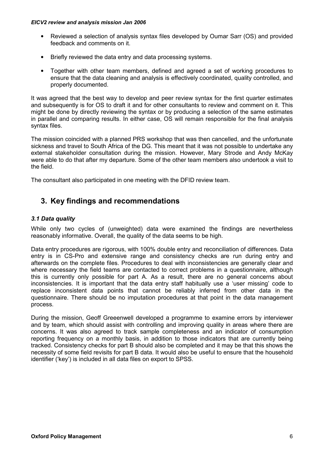- <span id="page-6-0"></span>• Reviewed a selection of analysis syntax files developed by Oumar Sarr (OS) and provided feedback and comments on it.
- Briefly reviewed the data entry and data processing systems.
- Together with other team members, defined and agreed a set of working procedures to ensure that the data cleaning and analysis is effectively coordinated, quality controlled, and properly documented.

It was agreed that the best way to develop and peer review syntax for the first quarter estimates and subsequently is for OS to draft it and for other consultants to review and comment on it. This might be done by directly reviewing the syntax or by producing a selection of the same estimates in parallel and comparing results. In either case, OS will remain responsible for the final analysis syntax files.

The mission coincided with a planned PRS workshop that was then cancelled, and the unfortunate sickness and travel to South Africa of the DG. This meant that it was not possible to undertake any external stakeholder consultation during the mission. However, Mary Strode and Andy McKay were able to do that after my departure. Some of the other team members also undertook a visit to the field.

The consultant also participated in one meeting with the DFID review team.

# 3. Key findings and recommendations

#### 3.1 Data quality

While only two cycles of (unweighted) data were examined the findings are nevertheless reasonably informative. Overall, the quality of the data seems to be high.

Data entry procedures are rigorous, with 100% double entry and reconciliation of differences. Data entry is in CS-Pro and extensive range and consistency checks are run during entry and afterwards on the complete files. Procedures to deal with inconsistencies are generally clear and where necessary the field teams are contacted to correct problems in a questionnaire, although this is currently only possible for part A. As a result, there are no general concerns about inconsistencies. It is important that the data entry staff habitually use a 'user missing' code to replace inconsistent data points that cannot be reliably inferred from other data in the questionnaire. There should be no imputation procedures at that point in the data management process.

During the mission, Geoff Greeenwell developed a programme to examine errors by interviewer and by team, which should assist with controlling and improving quality in areas where there are concerns. It was also agreed to track sample completeness and an indicator of consumption reporting frequency on a monthly basis, in addition to those indicators that are currently being tracked. Consistency checks for part B should also be completed and it may be that this shows the necessity of some field revisits for part B data. It would also be useful to ensure that the household identifier ('key') is included in all data files on export to SPSS.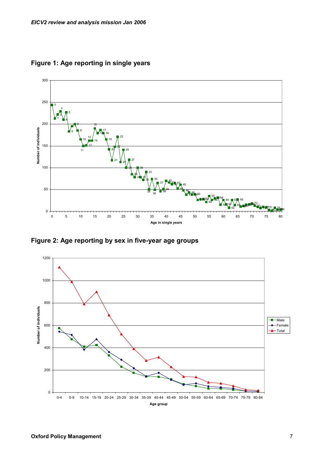

Figure 1: Age reporting in single years

Figure 2: Age reporting by sex in five-year age groups

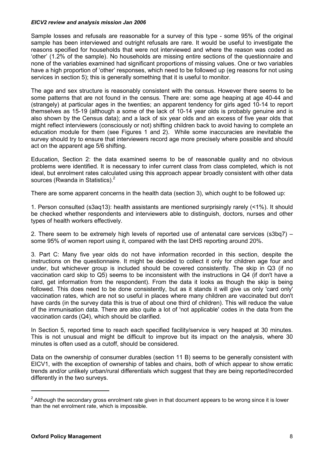Sample losses and refusals are reasonable for a survey of this type - some 95% of the original sample has been interviewed and outright refusals are rare. It would be useful to investigate the reasons specified for households that were not interviewed and where the reason was coded as 'other' (1.2% of the sample). No households are missing entire sections of the questionnaire and none of the variables examined had significant proportions of missing values. One or two variables have a high proportion of 'other' responses, which need to be followed up (eg reasons for not using services in section 5); this is generally something that it is useful to monitor.

The age and sex structure is reasonably consistent with the census. However there seems to be some patterns that are not found in the census. There are: some age heaping at age 40-44 and (strangely) at particular ages in the twenties; an apparent tendency for girls aged 10-14 to report themselves as 15-19 (although a some of the lack of 10-14 year olds is probably genuine and is also shown by the Census data); and a lack of six year olds and an excess of five year olds that might reflect interviewers (consciously or not) shifting children back to avoid having to complete an education module for them (see Figures 1 and 2). While some inaccuracies are inevitable the survey should try to ensure that interviewers record age more precisely where possible and should act on the apparent age 5/6 shifting.

Education, Section 2: the data examined seems to be of reasonable quality and no obvious problems were identified. It is necessary to infer current class from class completed, which is not ideal, but enrolment rates calculated using this approach appear broadly consistent with other data sources (Rwanda in Statistics). $<sup>2</sup>$ </sup>

There are some apparent concerns in the health data (section 3), which ought to be followed up:

1. Person consulted (s3aq13): health assistants are mentioned surprisingly rarely (<1%). It should be checked whether respondents and interviewers able to distinguish, doctors, nurses and other types of health workers effectively.

2. There seem to be extremely high levels of reported use of antenatal care services (s3bq7) – some 95% of women report using it, compared with the last DHS reporting around 20%.

3. Part C: Many five year olds do not have information recorded in this section, despite the instructions on the questionnaire. It might be decided to collect it only for children age four and under, but whichever group is included should be covered consistently. The skip in Q3 (if no vaccination card skip to Q5) seems to be inconsistent with the instructions in Q4 (if don't have a card, get information from the respondent). From the data it looks as though the skip is being followed. This does need to be done consistently, but as it stands it will give us only 'card only' vaccination rates, which are not so useful in places where many children are vaccinated but don't have cards (in the survey data this is true of about one third of children). This will reduce the value of the immunisation data. There are also quite a lot of 'not applicable' codes in the data from the vaccination cards (Q4), which should be clarified.

In Section 5, reported time to reach each specified facility/service is very heaped at 30 minutes. This is not unusual and might be difficult to improve but its impact on the analysis, where 30 minutes is often used as a cutoff, should be considered.

Data on the ownership of consumer durables (section 11 B) seems to be generally consistent with EICV1, with the exception of ownership of tables and chairs, both of which appear to show erratic trends and/or unlikely urban/rural differentials which suggest that they are being reported/recorded differently in the two surveys.

-

 $2$  Although the secondary gross enrolment rate given in that document appears to be wrong since it is lower than the net enrolment rate, which is impossible.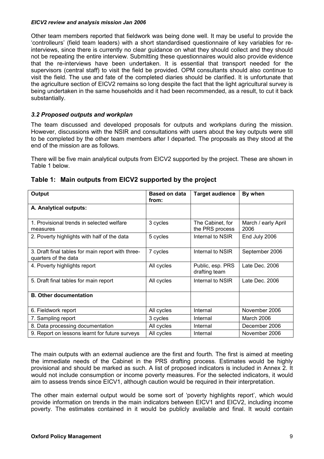Other team members reported that fieldwork was being done well. It may be useful to provide the 'controlleurs' (field team leaders) with a short standardised questionnaire of key variables for reinterviews, since there is currently no clear guidance on what they should collect and they should not be repeating the entire interview. Submitting these questionnaires would also provide evidence that the re-interviews have been undertaken. It is essential that transport needed for the supervisors (central staff) to visit the field be provided. OPM consultants should also continue to visit the field. The use and fate of the completed diaries should be clarified. It is unfortunate that the agriculture section of EICV2 remains so long despite the fact that the light agricultural survey is being undertaken in the same households and it had been recommended, as a result, to cut it back substantially.

## 3.2 Proposed outputs and workplan

The team discussed and developed proposals for outputs and workplans during the mission. However, discussions with the NSIR and consultations with users about the key outputs were still to be completed by the other team members after I departed. The proposals as they stood at the end of the mission are as follows.

There will be five main analytical outputs from EICV2 supported by the project. These are shown in Table 1 below.

| Output                                                                    | <b>Based on data</b><br>from: | <b>Target audience</b>              | By when                     |
|---------------------------------------------------------------------------|-------------------------------|-------------------------------------|-----------------------------|
| A. Analytical outputs:                                                    |                               |                                     |                             |
| 1. Provisional trends in selected welfare<br>measures                     | 3 cycles                      | The Cabinet, for<br>the PRS process | March / early April<br>2006 |
| 2. Poverty highlights with half of the data                               | 5 cycles                      | Internal to NSIR                    | End July 2006               |
| 3. Draft final tables for main report with three-<br>quarters of the data | 7 cycles                      | Internal to NSIR                    | September 2006              |
| 4. Poverty highlights report                                              | All cycles                    | Public, esp. PRS<br>drafting team   | Late Dec. 2006              |
| 5. Draft final tables for main report                                     | All cycles                    | Internal to NSIR                    | Late Dec. 2006              |
| <b>B. Other documentation</b>                                             |                               |                                     |                             |
| 6. Fieldwork report                                                       | All cycles                    | Internal                            | November 2006               |
| 7. Sampling report                                                        | 3 cycles                      | Internal                            | March 2006                  |
| 8. Data processing documentation                                          | All cycles                    | Internal                            | December 2006               |
| 9. Report on lessons learnt for future surveys                            | All cycles                    | Internal                            | November 2006               |

## Table 1: Main outputs from EICV2 supported by the project

The main outputs with an external audience are the first and fourth. The first is aimed at meeting the immediate needs of the Cabinet in the PRS drafting process. Estimates would be highly provisional and should be marked as such. A list of proposed indicators is included in Annex 2. It would not include consumption or income poverty measures. For the selected indicators, it would aim to assess trends since EICV1, although caution would be required in their interpretation.

The other main external output would be some sort of 'poverty highlights report', which would provide information on trends in the main indicators between EICV1 and EICV2, including income poverty. The estimates contained in it would be publicly available and final. It would contain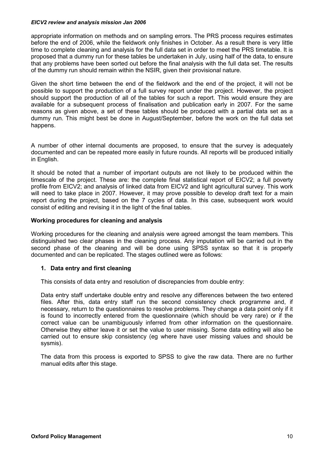appropriate information on methods and on sampling errors. The PRS process requires estimates before the end of 2006, while the fieldwork only finishes in October. As a result there is very little time to complete cleaning and analysis for the full data set in order to meet the PRS timetable. It is proposed that a dummy run for these tables be undertaken in July, using half of the data, to ensure that any problems have been sorted out before the final analysis with the full data set. The results of the dummy run should remain within the NSIR, given their provisional nature.

Given the short time between the end of the fieldwork and the end of the project, it will not be possible to support the production of a full survey report under the project. However, the project should support the production of all of the tables for such a report. This would ensure they are available for a subsequent process of finalisation and publication early in 2007. For the same reasons as given above, a set of these tables should be produced with a partial data set as a dummy run. This might best be done in August/September, before the work on the full data set happens.

A number of other internal documents are proposed, to ensure that the survey is adequately documented and can be repeated more easily in future rounds. All reports will be produced initially in English.

It should be noted that a number of important outputs are not likely to be produced within the timescale of the project. These are: the complete final statistical report of EICV2; a full poverty profile from EICV2; and analysis of linked data from EICV2 and light agricultural survey. This work will need to take place in 2007. However, it may prove possible to develop draft text for a main report during the project, based on the 7 cycles of data. In this case, subsequent work would consist of editing and revising it in the light of the final tables.

#### Working procedures for cleaning and analysis

Working procedures for the cleaning and analysis were agreed amongst the team members. This distinguished two clear phases in the cleaning process. Any imputation will be carried out in the second phase of the cleaning and will be done using SPSS syntax so that it is properly documented and can be replicated. The stages outlined were as follows:

#### 1. Data entry and first cleaning

This consists of data entry and resolution of discrepancies from double entry:

Data entry staff undertake double entry and resolve any differences between the two entered files. After this, data entry staff run the second consistency check programme and, if necessary, return to the questionnaires to resolve problems. They change a data point only if it is found to incorrectly entered from the questionnaire (which should be very rare) or if the correct value can be unambiguously inferred from other information on the questionnaire. Otherwise they either leave it or set the value to user missing. Some data editing will also be carried out to ensure skip consistency (eg where have user missing values and should be sysmis).

The data from this process is exported to SPSS to give the raw data. There are no further manual edits after this stage.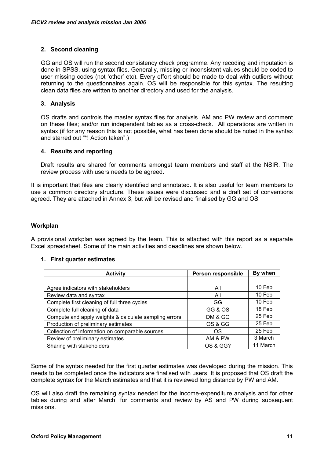### 2. Second cleaning

GG and OS will run the second consistency check programme. Any recoding and imputation is done in SPSS, using syntax files. Generally, missing or inconsistent values should be coded to user missing codes (not 'other' etc). Every effort should be made to deal with outliers without returning to the questionnaires again. OS will be responsible for this syntax. The resulting clean data files are written to another directory and used for the analysis.

### 3. Analysis

OS drafts and controls the master syntax files for analysis. AM and PW review and comment on these files; and/or run independent tables as a cross-check. All operations are written in syntax (if for any reason this is not possible, what has been done should be noted in the syntax and starred out "\*! Action taken".)

#### 4. Results and reporting

Draft results are shared for comments amongst team members and staff at the NSIR. The review process with users needs to be agreed.

It is important that files are clearly identified and annotated. It is also useful for team members to use a common directory structure. These issues were discussed and a draft set of conventions agreed. They are attached in Annex 3, but will be revised and finalised by GG and OS.

#### Workplan

A provisional workplan was agreed by the team. This is attached with this report as a separate Excel spreadsheet. Some of the main activities and deadlines are shown below.

#### 1. First quarter estimates

| <b>Activity</b>                                       | Person responsible | By when  |
|-------------------------------------------------------|--------------------|----------|
|                                                       |                    |          |
| Agree indicators with stakeholders                    | All                | 10 Feb   |
| Review data and syntax                                | All                | 10 Feb   |
| Complete first cleaning of full three cycles          | GG                 | 10 Feb   |
| Complete full cleaning of data                        | GG & OS            | 18 Feb   |
| Compute and apply weights & calculate sampling errors | DM & GG            | 25 Feb   |
| Production of preliminary estimates                   | OS & GG            | 25 Feb   |
| Collection of information on comparable sources       | OS                 | 25 Feb   |
| Review of preliminary estimates                       | AM & PW            | 3 March  |
| Sharing with stakeholders                             | OS & GG?           | 11 March |

Some of the syntax needed for the first quarter estimates was developed during the mission. This needs to be completed once the indicators are finalised with users. It is proposed that OS draft the complete syntax for the March estimates and that it is reviewed long distance by PW and AM.

OS will also draft the remaining syntax needed for the income-expenditure analysis and for other tables during and after March, for comments and review by AS and PW during subsequent missions.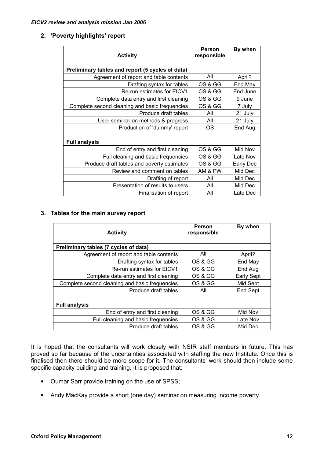#### 2. 'Poverty highlights' report

|                                                  | Person      | By when   |
|--------------------------------------------------|-------------|-----------|
| <b>Activity</b>                                  | responsible |           |
|                                                  |             |           |
| Preliminary tables and report (5 cycles of data) |             |           |
| Agreement of report and table contents           | All         | April?    |
| Drafting syntax for tables                       | OS & GG     | End May   |
| Re-run estimates for EICV1                       | OS & GG     | End June  |
| Complete data entry and first cleaning           | OS & GG     | 9 June    |
| Complete second cleaning and basic frequencies   | OS & GG     | 7 July    |
| Produce draft tables                             | All         | 21 July   |
| User seminar on methods & progress               | All         | 21 July   |
| Production of 'dummy' report                     | OS          | End Aug   |
|                                                  |             |           |
| <b>Full analysis</b>                             |             |           |
| End of entry and first cleaning                  | OS & GG     | Mid Nov   |
| Full cleaning and basic frequencies              | OS & GG     | Late Nov  |
| Produce draft tables and poverty estimates       | OS & GG     | Early Dec |
| Review and comment on tables                     | AM & PW     | Mid Dec   |
| Drafting of report                               | All         | Mid Dec   |
| Presentation of results to users                 | All         | Mid Dec   |
| Finalisation of report                           | All         | Late Dec  |

#### 3. Tables for the main survey report

| <b>Activity</b>                                | Person<br>responsible | By when           |
|------------------------------------------------|-----------------------|-------------------|
|                                                |                       |                   |
| Preliminary tables (7 cycles of data)          |                       |                   |
| Agreement of report and table contents         | All                   | April?            |
| Drafting syntax for tables                     | OS & GG               | End May           |
| <b>Re-run estimates for EICV1</b>              | OS & GG               | End Aug           |
| Complete data entry and first cleaning         | OS & GG               | <b>Early Sept</b> |
| Complete second cleaning and basic frequencies | OS & GG               | Mid Sept          |
| Produce draft tables                           | All                   | <b>End Sept</b>   |
|                                                |                       |                   |
| <b>Full analysis</b>                           |                       |                   |
| End of entry and first cleaning                | OS & GG               | Mid Nov           |
| Full cleaning and basic frequencies            | OS & GG               | Late Nov          |
| Produce draft tables                           | OS & GG               | Mid Dec           |

It is hoped that the consultants will work closely with NSIR staff members in future. This has proved so far because of the uncertainties associated with staffing the new Institute. Once this is finalised then there should be more scope for it. The consultants' work should then include some specific capacity building and training. It is proposed that:

- Oumar Sarr provide training on the use of SPSS;
- Andy MacKay provide a short (one day) seminar on measuring income poverty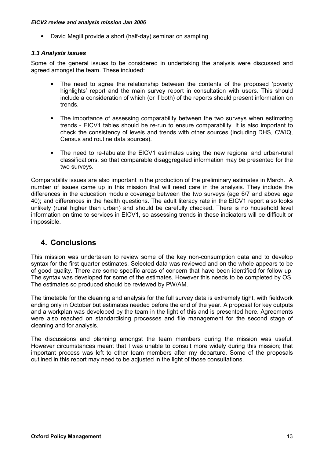<span id="page-13-0"></span>• David Megill provide a short (half-day) seminar on sampling

#### 3.3 Analysis issues

Some of the general issues to be considered in undertaking the analysis were discussed and agreed amongst the team. These included:

- The need to agree the relationship between the contents of the proposed 'poverty highlights' report and the main survey report in consultation with users. This should include a consideration of which (or if both) of the reports should present information on trends.
- The importance of assessing comparability between the two surveys when estimating trends - EICV1 tables should be re-run to ensure comparability. It is also important to check the consistency of levels and trends with other sources (including DHS, CWIQ, Census and routine data sources).
- The need to re-tabulate the EICV1 estimates using the new regional and urban-rural classifications, so that comparable disaggregated information may be presented for the two surveys.

Comparability issues are also important in the production of the preliminary estimates in March. A number of issues came up in this mission that will need care in the analysis. They include the differences in the education module coverage between the two surveys (age 6/7 and above age 40); and differences in the health questions. The adult literacy rate in the EICV1 report also looks unlikely (rural higher than urban) and should be carefully checked. There is no household level information on time to services in EICV1, so assessing trends in these indicators will be difficult or impossible.

## 4. Conclusions

This mission was undertaken to review some of the key non-consumption data and to develop syntax for the first quarter estimates. Selected data was reviewed and on the whole appears to be of good quality. There are some specific areas of concern that have been identified for follow up. The syntax was developed for some of the estimates. However this needs to be completed by OS. The estimates so produced should be reviewed by PW/AM.

The timetable for the cleaning and analysis for the full survey data is extremely tight, with fieldwork ending only in October but estimates needed before the end of the year. A proposal for key outputs and a workplan was developed by the team in the light of this and is presented here. Agreements were also reached on standardising processes and file management for the second stage of cleaning and for analysis.

The discussions and planning amongst the team members during the mission was useful. However circumstances meant that I was unable to consult more widely during this mission; that important process was left to other team members after my departure. Some of the proposals outlined in this report may need to be adjusted in the light of those consultations.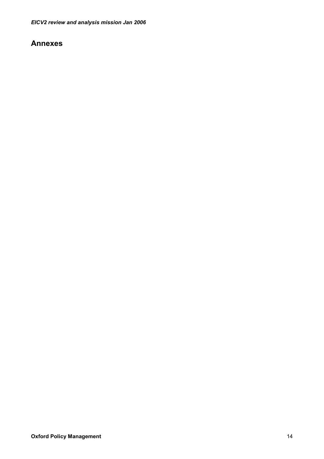## <span id="page-14-0"></span>Annexes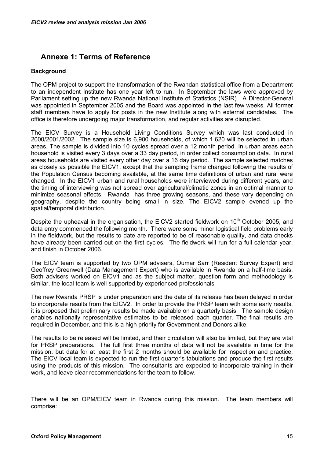# <span id="page-15-0"></span>Annexe 1: Terms of Reference

### **Background**

The OPM project to support the transformation of the Rwandan statistical office from a Department to an independent Institute has one year left to run. In September the laws were approved by Parliament setting up the new Rwanda National Institute of Statistics (NSIR). A Director-General was appointed in September 2005 and the Board was appointed in the last few weeks. All former staff members have to apply for posts in the new Institute along with external candidates. The office is therefore undergoing major transformation, and regular activities are disrupted.

The EICV Survey is a Household Living Conditions Survey which was last conducted in 2000/2001/2002. The sample size is 6,900 households, of which 1,620 will be selected in urban areas. The sample is divided into 10 cycles spread over a 12 month period. In urban areas each household is visited every 3 days over a 33 day period, in order collect consumption data. In rural areas households are visited every other day over a 16 day period. The sample selected matches as closely as possible the EICV1, except that the sampling frame changed following the results of the Population Census becoming available, at the same time definitions of urban and rural were changed. In the EICV1 urban and rural households were interviewed during different years, and the timing of interviewing was not spread over agricultural/climatic zones in an optimal manner to minimize seasonal effects. Rwanda has three growing seasons, and these vary depending on geography, despite the country being small in size. The EICV2 sample evened up the spatial/temporal distribution.

Despite the upheaval in the organisation, the EICV2 started fieldwork on 10<sup>th</sup> October 2005. and data entry commenced the following month. There were some minor logistical field problems early in the fieldwork, but the results to date are reported to be of reasonable quality, and data checks have already been carried out on the first cycles. The fieldwork will run for a full calendar year, and finish in October 2006.

The EICV team is supported by two OPM advisers, Oumar Sarr (Resident Survey Expert) and Geoffrey Greenwell (Data Management Expert) who is available in Rwanda on a half-time basis. Both advisers worked on EICV1 and as the subject matter, question form and methodology is similar, the local team is well supported by experienced professionals

The new Rwanda PRSP is under preparation and the date of its release has been delayed in order to incorporate results from the EICV2. In order to provide the PRSP team with some early results, it is proposed that preliminary results be made available on a quarterly basis. The sample design enables nationally representative estimates to be released each quarter. The final results are required in December, and this is a high priority for Government and Donors alike.

The results to be released will be limited, and their circulation will also be limited, but they are vital for PRSP preparations. The full first three months of data will not be available in time for the mission, but data for at least the first 2 months should be available for inspection and practice. The EICV local team is expected to run the first quarter's tabulations and produce the first results using the products of this mission. The consultants are expected to incorporate training in their work, and leave clear recommendations for the team to follow.

There will be an OPM/EICV team in Rwanda during this mission. The team members will comprise: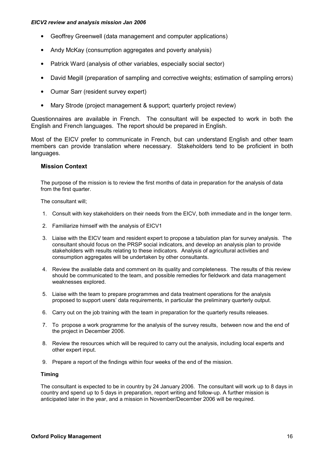- Geoffrey Greenwell (data management and computer applications)
- Andy McKay (consumption aggregates and poverty analysis)
- Patrick Ward (analysis of other variables, especially social sector)
- David Megill (preparation of sampling and corrective weights; estimation of sampling errors)
- Oumar Sarr (resident survey expert)
- Mary Strode (project management & support; quarterly project review)

Questionnaires are available in French. The consultant will be expected to work in both the English and French languages. The report should be prepared in English.

Most of the EICV prefer to communicate in French, but can understand English and other team members can provide translation where necessary. Stakeholders tend to be proficient in both languages.

#### Mission Context

The purpose of the mission is to review the first months of data in preparation for the analysis of data from the first quarter.

The consultant will;

- 1. Consult with key stakeholders on their needs from the EICV, both immediate and in the longer term.
- 2. Familiarize himself with the analysis of EICV1
- 3. Liaise with the EICV team and resident expert to propose a tabulation plan for survey analysis. The consultant should focus on the PRSP social indicators, and develop an analysis plan to provide stakeholders with results relating to these indicators. Analysis of agricultural activities and consumption aggregates will be undertaken by other consultants.
- 4. Review the available data and comment on its quality and completeness. The results of this review should be communicated to the team, and possible remedies for fieldwork and data management weaknesses explored.
- 5. Liaise with the team to prepare programmes and data treatment operations for the analysis proposed to support users' data requirements, in particular the preliminary quarterly output.
- 6. Carry out on the job training with the team in preparation for the quarterly results releases.
- 7. To propose a work programme for the analysis of the survey results, between now and the end of the project in December 2006.
- 8. Review the resources which will be required to carry out the analysis, including local experts and other expert input.
- 9. Prepare a report of the findings within four weeks of the end of the mission.

#### Timing

The consultant is expected to be in country by 24 January 2006. The consultant will work up to 8 days in country and spend up to 5 days in preparation, report writing and follow-up. A further mission is anticipated later in the year, and a mission in November/December 2006 will be required.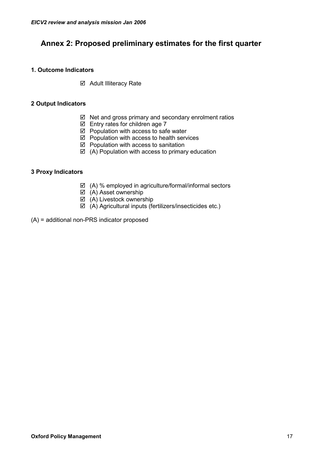# <span id="page-17-0"></span>Annex 2: Proposed preliminary estimates for the first quarter

## 1. Outcome Indicators

**Ø** Adult Illiteracy Rate

## 2 Output Indicators

- $\boxtimes$  Net and gross primary and secondary enrolment ratios
- $\boxtimes$  Entry rates for children age 7
- $\boxtimes$  Population with access to safe water
- $\boxtimes$  Population with access to health services
- $\boxtimes$  Population with access to sanitation
- $\boxtimes$  (A) Population with access to primary education

## 3 Proxy Indicators

- $\boxtimes$  (A) % employed in agriculture/formal/informal sectors
- (A) Asset ownership
- $\boxtimes$  (A) Livestock ownership
- $\boxtimes$  (A) Agricultural inputs (fertilizers/insecticides etc.)
- (A) = additional non-PRS indicator proposed